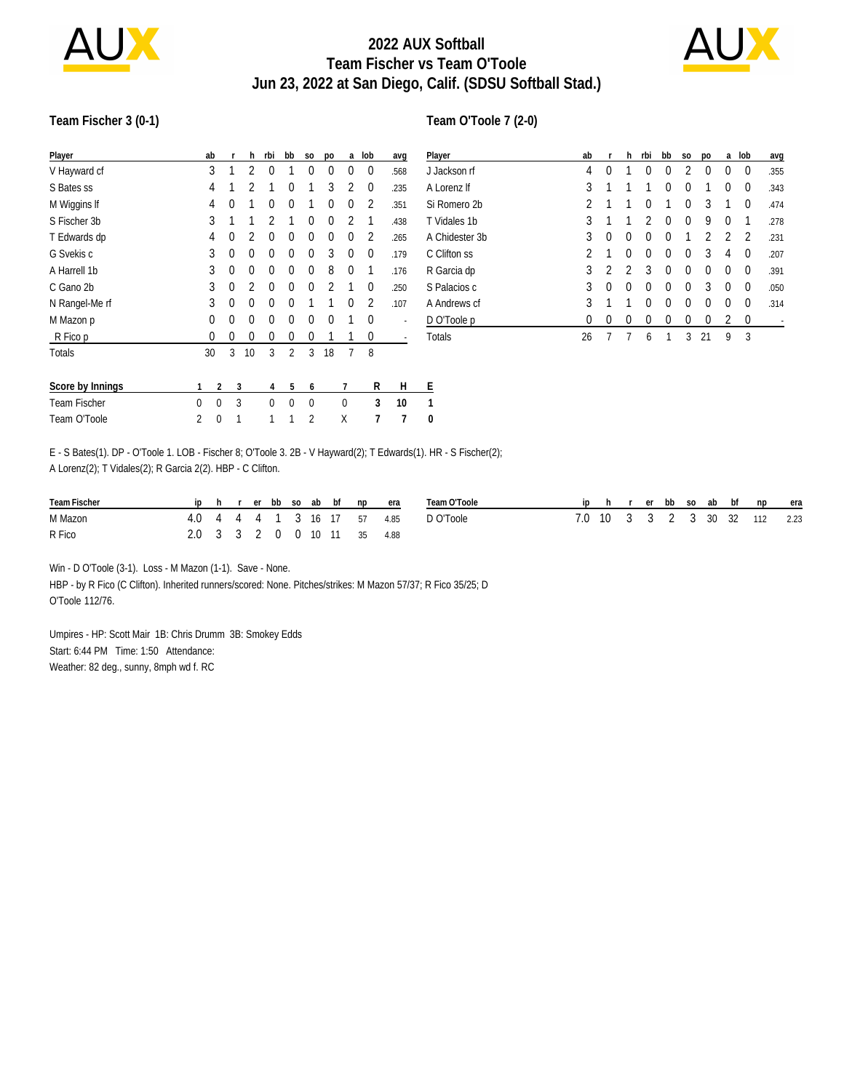

## **2022 AUX Softball Team Fischer vs Team O'Toole Jun 23, 2022 at San Diego, Calif. (SDSU Softball Stad.)**



#### **Team Fischer 3 (0-1)**

| Player           |          | ab                       | r | h  | rbi | bb             | S <sub>0</sub> | D <sub>O</sub> | a        | lob      | avg  | $\overline{P}$ |
|------------------|----------|--------------------------|---|----|-----|----------------|----------------|----------------|----------|----------|------|----------------|
| V Hayward cf     |          | 3                        | 1 | 2  | 0   |                | 0              | 0              | 0        | 0        | .568 | J.             |
| S Bates ss       |          | 4                        |   | 2  |     | 0              |                | 3              | 2        | 0        | .235 | Α              |
| M Wiggins If     |          | 4                        | 0 |    | 0   | $\Omega$       | 1              | $\Omega$       | 0        | 2        | .351 | Si             |
| S Fischer 3b     |          | 3                        |   |    | 2   | 1              | 0              | $\theta$       | 2        | 1        | .438 | Τ              |
| T Edwards dp     |          | 4                        | 0 | 2  | 0   | $\Omega$       | 0              | 0              | 0        | 2        | .265 | Α              |
| G Svekis c       |          | 3                        | 0 | 0  | 0   | $\Omega$       | 0              | 3              | $\Omega$ | 0        | .179 | C              |
| A Harrell 1b     |          | 3                        | 0 | 0  | 0   | $\Omega$       | 0              | 8              | 0        | 1        | .176 | R              |
| C Gano 2b        |          | 3                        | 0 | 2  | 0   | $\Omega$       | 0              | 2              | 1        | 0        | .250 | S              |
| N Rangel-Me rf   |          | 3                        | 0 | 0  | 0   | $\Omega$       | 1              | 1              | 0        | 2        | .107 | А              |
| M Mazon p        |          | 0                        | 0 | 0  | 0   | $\Omega$       | 0              | $\Omega$       | 1        | $\theta$ |      | $\overline{D}$ |
| R Fico p         |          | 0                        | 0 | 0  | 0   | 0              | 0              | 1              | 1        | 0        |      | Τ              |
| Totals           |          | 30                       | 3 | 10 | 3   | $\overline{2}$ | 3              | 18             | 7        | 8        |      |                |
| Score by Innings | 1        | $\overline{\phantom{a}}$ | 3 |    | 4   | 5              | 6              |                | 7        | R        | Н    | Ε              |
| Team Fischer     | $\Omega$ | $\Omega$                 | 3 |    | 0   | $\Omega$       | $\Omega$       |                | $\Omega$ | 3        | 10   | 1              |
| Team O'Toole     | 2<br>0   |                          | 1 |    | 1   | 1              | $\overline{2}$ | Χ              |          | 7        | 7    | 0              |

| Player         | ab             | r | h | rbi | bb       | S <sub>O</sub> | po       | a        | lob | avg  |
|----------------|----------------|---|---|-----|----------|----------------|----------|----------|-----|------|
| J Jackson rf   | 4              | 0 | 1 | 0   | 0        | 2              | 0        | 0        | 0   | .355 |
| A Lorenz If    | 3              |   |   |     | 0        | 0              | 1        | 0        | 0   | .343 |
| Si Romero 2b   | 2              |   | 1 | 0   | 1        | 0              | 3        | 1        | 0   | .474 |
| T Vidales 1b   | 3              | 1 | 1 | 2   | 0        | 0              | 9        | 0        | 1   | .278 |
| A Chidester 3b | 3              | 0 | 0 | 0   | $\theta$ | 1              | 2        | 2        | 2   | .231 |
| C Clifton ss   | $\overline{2}$ | 1 | 0 | 0   | $\theta$ | $\Omega$       | 3        | 4        | 0   | .207 |
| R Garcia dp    | 3              | 2 | 2 | 3   | $\theta$ | $\Omega$       | $\theta$ | $\Omega$ | 0   | .391 |
| S Palacios c   | 3              | 0 | 0 | 0   | 0        | $\Omega$       | 3        | 0        | 0   | .050 |
| A Andrews cf   | 3              |   | 1 | 0   | 0        | 0              | 0        | 0        | 0   | .314 |
| D O'Toole p    | 0              | 0 | 0 | 0   | 0        | 0              | 0        | 2        | 0   |      |
| Totals         | 26             | 7 |   | 6   |          | 3              | 21       | 9        | 3   |      |

E - S Bates(1). DP - O'Toole 1. LOB - Fischer 8; O'Toole 3. 2B - V Hayward(2); T Edwards(1). HR - S Fischer(2); A Lorenz(2); T Vidales(2); R Garcia 2(2). HBP - C Clifton.

| Team Fischer | in |  |  |  | h rerbbso ab bf np          | era | Team O'Toole |  |  |  |  | ip h r er bb so ab bf np era  |  |
|--------------|----|--|--|--|-----------------------------|-----|--------------|--|--|--|--|-------------------------------|--|
| M Mazon      |    |  |  |  | 4.0 4 4 4 1 3 16 17 57 4.85 |     | D O'Toole    |  |  |  |  | 7.0 10 3 3 2 3 30 32 112 2.23 |  |
| R Fico       |    |  |  |  | 2.0 3 3 2 0 0 10 11 35 4.88 |     |              |  |  |  |  |                               |  |

Win - D O'Toole (3-1). Loss - M Mazon (1-1). Save - None. HBP - by R Fico (C Clifton). Inherited runners/scored: None. Pitches/strikes: M Mazon 57/37; R Fico 35/25; D O'Toole 112/76.

Umpires - HP: Scott Mair 1B: Chris Drumm 3B: Smokey Edds Start: 6:44 PM Time: 1:50 Attendance: Weather: 82 deg., sunny, 8mph wd f. RC

#### **Team O'Toole 7 (2-0)**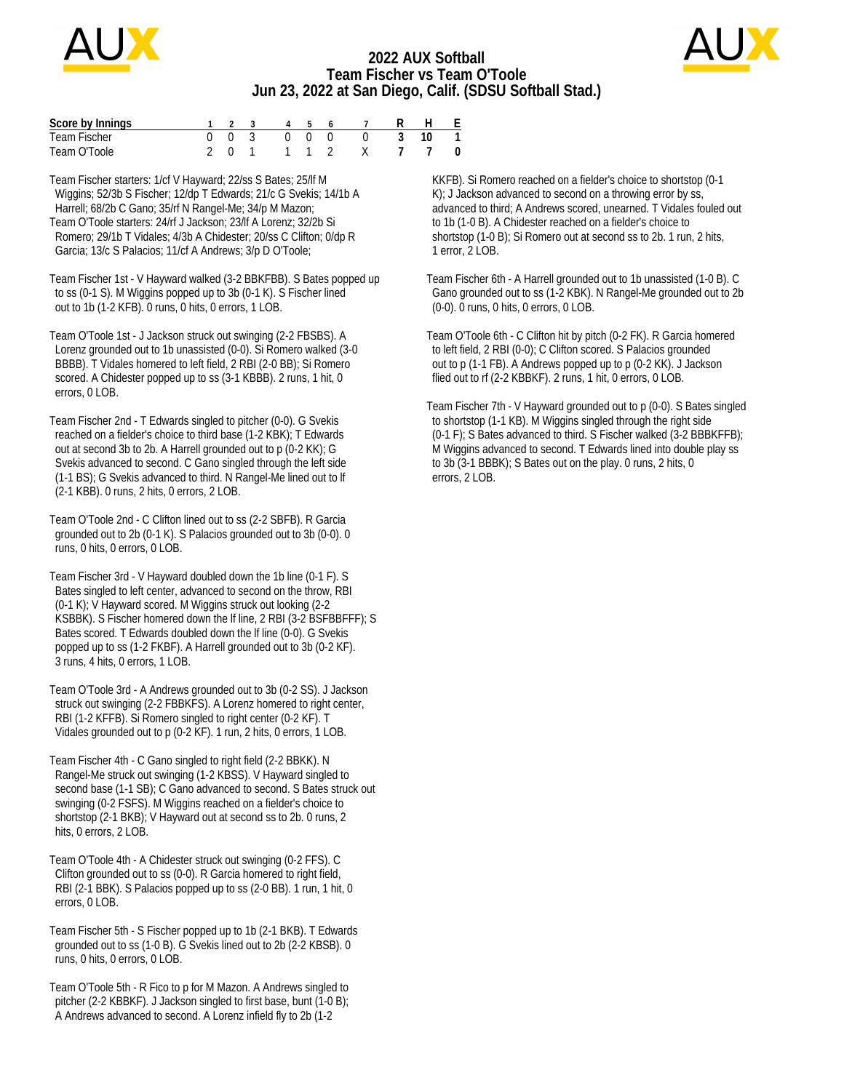

## **2022 AUX Softball Team Fischer vs Team O'Toole Jun 23, 2022 at San Diego, Calif. (SDSU Softball Stad.)**



| Score by Innings |  |  |  | 1 2 3 4 5 6 7 R H E  |  |  |
|------------------|--|--|--|----------------------|--|--|
| Team Fischer     |  |  |  | 0 0 3 0 0 0 0 3 10 1 |  |  |
| Team O'Toole     |  |  |  | 2011 12 X 7 7 0      |  |  |

Team Fischer starters: 1/cf V Hayward; 22/ss S Bates; 25/lf M Wiggins; 52/3b S Fischer; 12/dp T Edwards; 21/c G Svekis; 14/1b A Harrell; 68/2b C Gano; 35/rf N Rangel-Me; 34/p M Mazon; Team O'Toole starters: 24/rf J Jackson; 23/lf A Lorenz; 32/2b Si Romero; 29/1b T Vidales; 4/3b A Chidester; 20/ss C Clifton; 0/dp R Garcia; 13/c S Palacios; 11/cf A Andrews; 3/p D O'Toole;

Team Fischer 1st - V Hayward walked (3-2 BBKFBB). S Bates popped up to ss (0-1 S). M Wiggins popped up to 3b (0-1 K). S Fischer lined out to 1b (1-2 KFB). 0 runs, 0 hits, 0 errors, 1 LOB.

Team O'Toole 1st - J Jackson struck out swinging (2-2 FBSBS). A Lorenz grounded out to 1b unassisted (0-0). Si Romero walked (3-0 BBBB). T Vidales homered to left field, 2 RBI (2-0 BB); Si Romero scored. A Chidester popped up to ss (3-1 KBBB). 2 runs, 1 hit, 0 errors, 0 LOB.

Team Fischer 2nd - T Edwards singled to pitcher (0-0). G Svekis reached on a fielder's choice to third base (1-2 KBK); T Edwards out at second 3b to 2b. A Harrell grounded out to p (0-2 KK); G Svekis advanced to second. C Gano singled through the left side (1-1 BS); G Svekis advanced to third. N Rangel-Me lined out to lf (2-1 KBB). 0 runs, 2 hits, 0 errors, 2 LOB.

Team O'Toole 2nd - C Clifton lined out to ss (2-2 SBFB). R Garcia grounded out to 2b (0-1 K). S Palacios grounded out to 3b (0-0). 0 runs, 0 hits, 0 errors, 0 LOB.

Team Fischer 3rd - V Hayward doubled down the 1b line (0-1 F). S Bates singled to left center, advanced to second on the throw, RBI (0-1 K); V Hayward scored. M Wiggins struck out looking (2-2 KSBBK). S Fischer homered down the lf line, 2 RBI (3-2 BSFBBFFF); S Bates scored. T Edwards doubled down the lf line (0-0). G Svekis popped up to ss (1-2 FKBF). A Harrell grounded out to 3b (0-2 KF). 3 runs, 4 hits, 0 errors, 1 LOB.

Team O'Toole 3rd - A Andrews grounded out to 3b (0-2 SS). J Jackson struck out swinging (2-2 FBBKFS). A Lorenz homered to right center, RBI (1-2 KFFB). Si Romero singled to right center (0-2 KF). T Vidales grounded out to p (0-2 KF). 1 run, 2 hits, 0 errors, 1 LOB.

Team Fischer 4th - C Gano singled to right field (2-2 BBKK). N Rangel-Me struck out swinging (1-2 KBSS). V Hayward singled to second base (1-1 SB); C Gano advanced to second. S Bates struck out swinging (0-2 FSFS). M Wiggins reached on a fielder's choice to shortstop (2-1 BKB); V Hayward out at second ss to 2b. 0 runs, 2 hits, 0 errors, 2 LOB.

Team O'Toole 4th - A Chidester struck out swinging (0-2 FFS). C Clifton grounded out to ss (0-0). R Garcia homered to right field, RBI (2-1 BBK). S Palacios popped up to ss (2-0 BB). 1 run, 1 hit, 0 errors, 0 LOB.

Team Fischer 5th - S Fischer popped up to 1b (2-1 BKB). T Edwards grounded out to ss (1-0 B). G Svekis lined out to 2b (2-2 KBSB). 0 runs, 0 hits, 0 errors, 0 LOB.

Team O'Toole 5th - R Fico to p for M Mazon. A Andrews singled to pitcher (2-2 KBBKF). J Jackson singled to first base, bunt (1-0 B); A Andrews advanced to second. A Lorenz infield fly to 2b (1-2

 KKFB). Si Romero reached on a fielder's choice to shortstop (0-1 K); J Jackson advanced to second on a throwing error by ss, advanced to third; A Andrews scored, unearned. T Vidales fouled out to 1b (1-0 B). A Chidester reached on a fielder's choice to shortstop (1-0 B); Si Romero out at second ss to 2b. 1 run, 2 hits, 1 error, 2 LOB.

Team Fischer 6th - A Harrell grounded out to 1b unassisted (1-0 B). C Gano grounded out to ss (1-2 KBK). N Rangel-Me grounded out to 2b (0-0). 0 runs, 0 hits, 0 errors, 0 LOB.

Team O'Toole 6th - C Clifton hit by pitch (0-2 FK). R Garcia homered to left field, 2 RBI (0-0); C Clifton scored. S Palacios grounded out to p (1-1 FB). A Andrews popped up to p (0-2 KK). J Jackson flied out to rf (2-2 KBBKF). 2 runs, 1 hit, 0 errors, 0 LOB.

Team Fischer 7th - V Hayward grounded out to p (0-0). S Bates singled to shortstop (1-1 KB). M Wiggins singled through the right side (0-1 F); S Bates advanced to third. S Fischer walked (3-2 BBBKFFB); M Wiggins advanced to second. T Edwards lined into double play ss to 3b (3-1 BBBK); S Bates out on the play. 0 runs, 2 hits, 0 errors, 2 LOB.